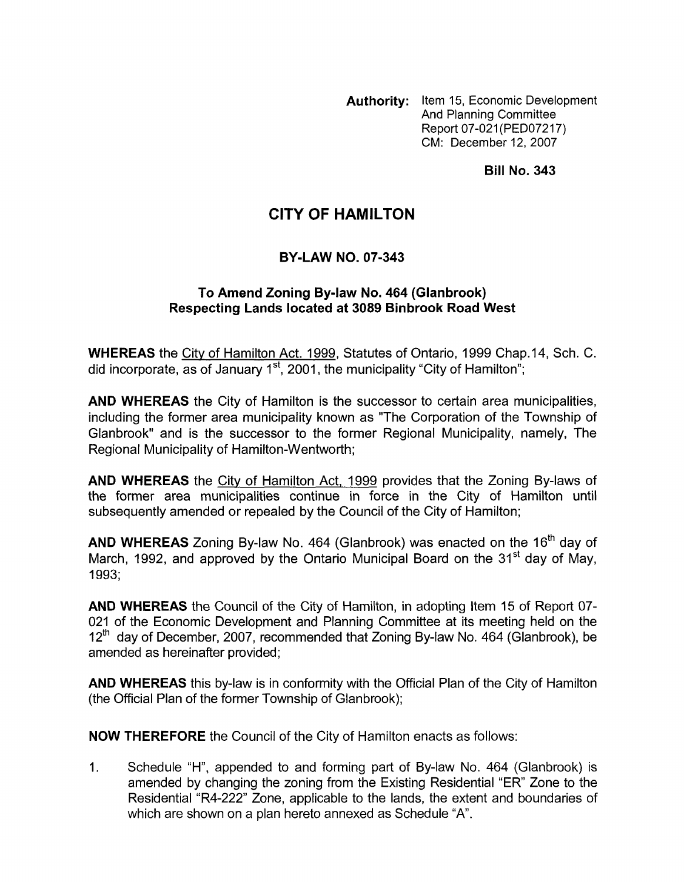**Authority:** Item 15, Economic Development And Planning Committee Report 07-021 (PED07217) CM: December 12,2007

**Bill No. 343** 

## **CITY OF HAMILTON**

## **BY-LAW NO. 07-343**

## **To Amend Zoning By-law No. 464 (Glanbrook) Respecting Lands located at 3089 Binbrook Road West**

**WHEREAS** the City of Hamilton Act. 1999, Statutes of Ontario, 1999 Chap.14, Sch. C. did incorporate, as of January  $1<sup>st</sup>$ , 2001, the municipality "City of Hamilton";

**AND WHEREAS** the City of Hamilton is the successor to certain area municipalities, including the former area municipality known as "The Corporation of the Township of Glanbrook" and is the successor to the former Regional Municipality, namely, The Regional Municipality of Hamilton-Wentworth;

**AND WHEREAS** the City of Hamilton Act, 1999 provides that the Zoning By-laws of the former area municipalities continue in force in the City of Hamilton until subsequently amended or repealed by the Council of the City of Hamilton;

**AND WHEREAS** Zoning By-law No. 464 (Glanbrook) was enacted on the 16<sup>th</sup> day of March, 1992, and approved by the Ontario Municipal Board on the  $31<sup>st</sup>$  day of May. 1993;

**AND WHEREAS** the Council of the City of Hamilton, in adopting Item 15 of Report 07- 021 of the Economic Development and Planning Committee at its meeting held on the  $12<sup>th</sup>$  day of December, 2007, recommended that Zoning By-law No. 464 (Glanbrook), be amended as hereinafter provided;

**AND WHEREAS** this by-law is in conformity with the Official Plan of the City of Hamilton (the Official Plan of the former Township of Glanbrook);

**NOW THEREFORE** the Council of the City of Hamilton enacts as follows:

1. Schedule "H", appended to and forming part of By-law No. 464 (Glanbrook) is amended by changing the zoning from the Existing Residential "ER" Zone to the Residential "R4-222" Zone, applicable to the lands, the extent and boundaries of which are shown on a plan hereto annexed as Schedule "A".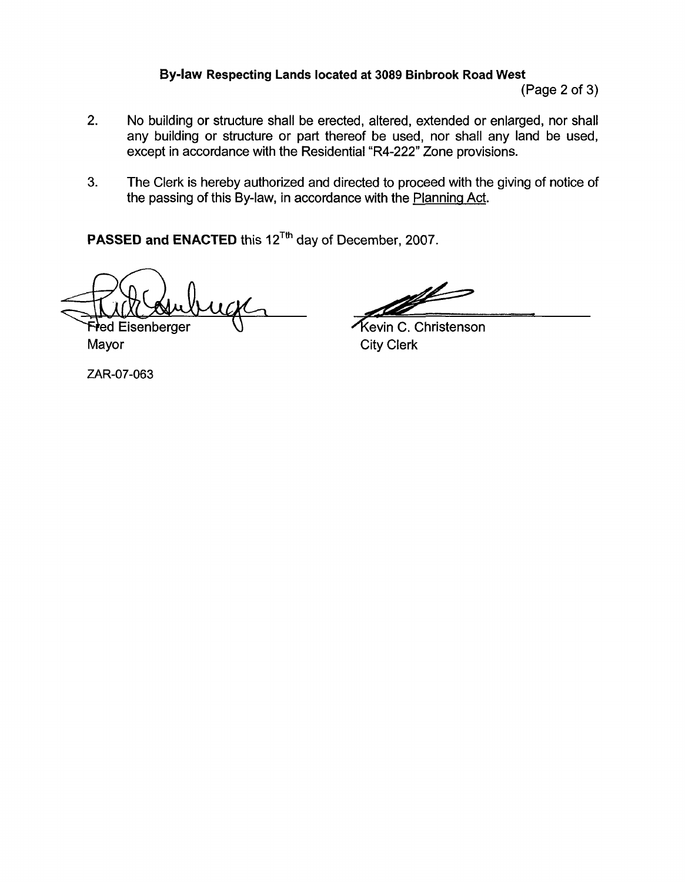## **Bylaw Respecting Lands located at 3089 Binbrook Road West**

(Page 2 of 3)

- 2. No building or structure shall be erected, altered, extended or enlarged, nor shall any building or structure or part thereof be used, nor shall any land be used, except in accordance with the Residential "R4-222" Zone provisions. readed at 3089 Binbrook Road West<br>
(Page 2 of 3)<br>
ed, altered, extended or enlarged, nor shall<br>
sof be used, nor shall any land be used,<br>
ital "R4-222" Zone provisions.<br>
sected to proceed with the giving of notice of<br>
sece
- **3.** The Clerk is hereby authorized and directed to proceed with the giving of notice of the passing of this By-law, in accordance with the Planning Act.

PASSED and ENACTED this 12<sup>Tth</sup> day of December, 2007.

**Fred Eisenberger** 

Mayor City Clerk

ZAR-07-063